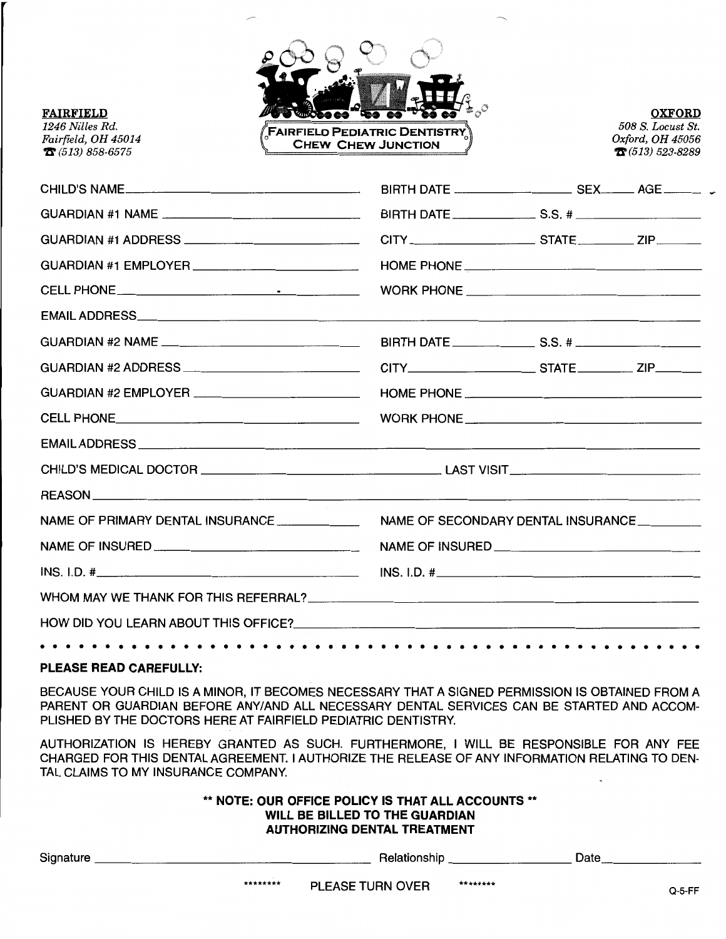

**OXFORD**  *508 S. Locu st St. Oxford, OH 45056 'n'(513) 523-8289* 

| EMAIL ADDRESS And the contract of the contract of the contract of the contract of the contract of the contract of the contract of the contract of the contract of the contract of the contract of the contract of the contract |                                    |  |  |
|--------------------------------------------------------------------------------------------------------------------------------------------------------------------------------------------------------------------------------|------------------------------------|--|--|
|                                                                                                                                                                                                                                |                                    |  |  |
|                                                                                                                                                                                                                                |                                    |  |  |
|                                                                                                                                                                                                                                |                                    |  |  |
|                                                                                                                                                                                                                                |                                    |  |  |
|                                                                                                                                                                                                                                |                                    |  |  |
|                                                                                                                                                                                                                                |                                    |  |  |
|                                                                                                                                                                                                                                |                                    |  |  |
| NAME OF PRIMARY DENTAL INSURANCE ______________                                                                                                                                                                                | NAME OF SECONDARY DENTAL INSURANCE |  |  |
|                                                                                                                                                                                                                                |                                    |  |  |
| INS. I.D. #                                                                                                                                                                                                                    | INS. I.D. #                        |  |  |
|                                                                                                                                                                                                                                |                                    |  |  |
|                                                                                                                                                                                                                                |                                    |  |  |
|                                                                                                                                                                                                                                |                                    |  |  |

## **PLEASE READ CAREFULLY:**

BECAUSE YOUR CHILD IS A MINOR, IT BECOMES NECESSARY THAT A SIGNED PERMISSION IS OBTAINED FROM A PARENT OR GUARDIAN BEFORE ANY/AND ALL NECESSARY DENTAL SERVICES CAN BE STARTED AND ACCOM-PLISHED BY THE DOCTORS HERE AT FAIRFIELD PEDIATRIC DENTISTRY.

AUTHORIZATION IS HEREBY GRANTED AS SUCH. FURTHERMORE, I WILL BE RESPONSIBLE FOR ANY FEE CHARGED FOR THIS DENTAL AGREEMENT. I AUTHORIZE THE RELEASE OF ANY INFORMATION RELATING TO DEN-TAL CLAIMS TO MY INSURANCE COMPANY.

## \*\* **NOTE: OUR OFFICE POLICY IS THAT ALL ACCOUNTS** \*\* **WILL BE BILLED TO THE GUARDIAN AUTHORIZING DENTAL TREATMENT**

| Signature | Relationship            |          | Date   |
|-----------|-------------------------|----------|--------|
| ********  | <b>PLEASE TURN OVER</b> | ******** | Q-5-FF |

## **FAIRFIELD**  *1246 Nilles Rd . Fairfield, OH 45014*

**'D'** *(513) 858-6575*